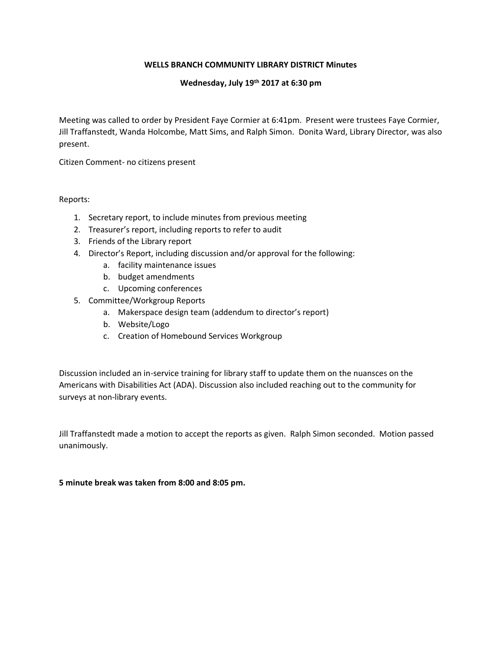## **WELLS BRANCH COMMUNITY LIBRARY DISTRICT Minutes**

## **Wednesday, July 19th 2017 at 6:30 pm**

Meeting was called to order by President Faye Cormier at 6:41pm. Present were trustees Faye Cormier, Jill Traffanstedt, Wanda Holcombe, Matt Sims, and Ralph Simon. Donita Ward, Library Director, was also present.

Citizen Comment- no citizens present

Reports:

- 1. Secretary report, to include minutes from previous meeting
- 2. Treasurer's report, including reports to refer to audit
- 3. Friends of the Library report
- 4. Director's Report, including discussion and/or approval for the following:
	- a. facility maintenance issues
	- b. budget amendments
	- c. Upcoming conferences
- 5. Committee/Workgroup Reports
	- a. Makerspace design team (addendum to director's report)
	- b. Website/Logo
	- c. Creation of Homebound Services Workgroup

Discussion included an in-service training for library staff to update them on the nuansces on the Americans with Disabilities Act (ADA). Discussion also included reaching out to the community for surveys at non-library events.

Jill Traffanstedt made a motion to accept the reports as given. Ralph Simon seconded. Motion passed unanimously.

**5 minute break was taken from 8:00 and 8:05 pm.**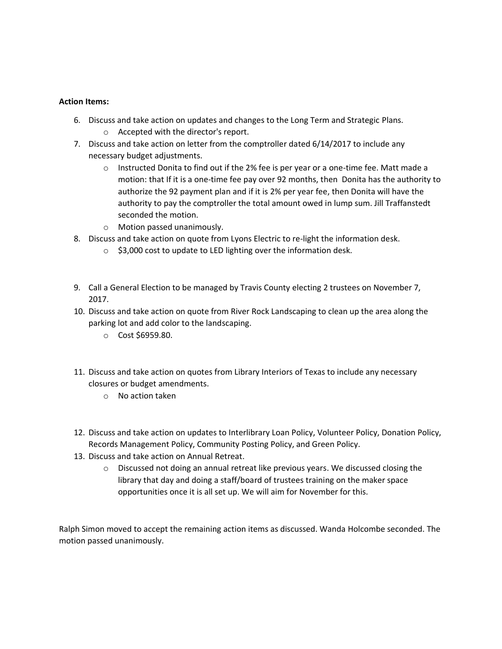## **Action Items:**

- 6. Discuss and take action on updates and changes to the Long Term and Strategic Plans.
	- o Accepted with the director's report.
- 7. Discuss and take action on letter from the comptroller dated 6/14/2017 to include any necessary budget adjustments.
	- $\circ$  Instructed Donita to find out if the 2% fee is per year or a one-time fee. Matt made a motion: that If it is a one-time fee pay over 92 months, then Donita has the authority to authorize the 92 payment plan and if it is 2% per year fee, then Donita will have the authority to pay the comptroller the total amount owed in lump sum. Jill Traffanstedt seconded the motion.
	- o Motion passed unanimously.
- 8. Discuss and take action on quote from Lyons Electric to re-light the information desk.
	- $\circ$  \$3,000 cost to update to LED lighting over the information desk.
- 9. Call a General Election to be managed by Travis County electing 2 trustees on November 7, 2017.
- 10. Discuss and take action on quote from River Rock Landscaping to clean up the area along the parking lot and add color to the landscaping.
	- o Cost \$6959.80.
- 11. Discuss and take action on quotes from Library Interiors of Texas to include any necessary closures or budget amendments.
	- o No action taken
- 12. Discuss and take action on updates to Interlibrary Loan Policy, Volunteer Policy, Donation Policy, Records Management Policy, Community Posting Policy, and Green Policy.
- 13. Discuss and take action on Annual Retreat.
	- o Discussed not doing an annual retreat like previous years. We discussed closing the library that day and doing a staff/board of trustees training on the maker space opportunities once it is all set up. We will aim for November for this.

Ralph Simon moved to accept the remaining action items as discussed. Wanda Holcombe seconded. The motion passed unanimously.